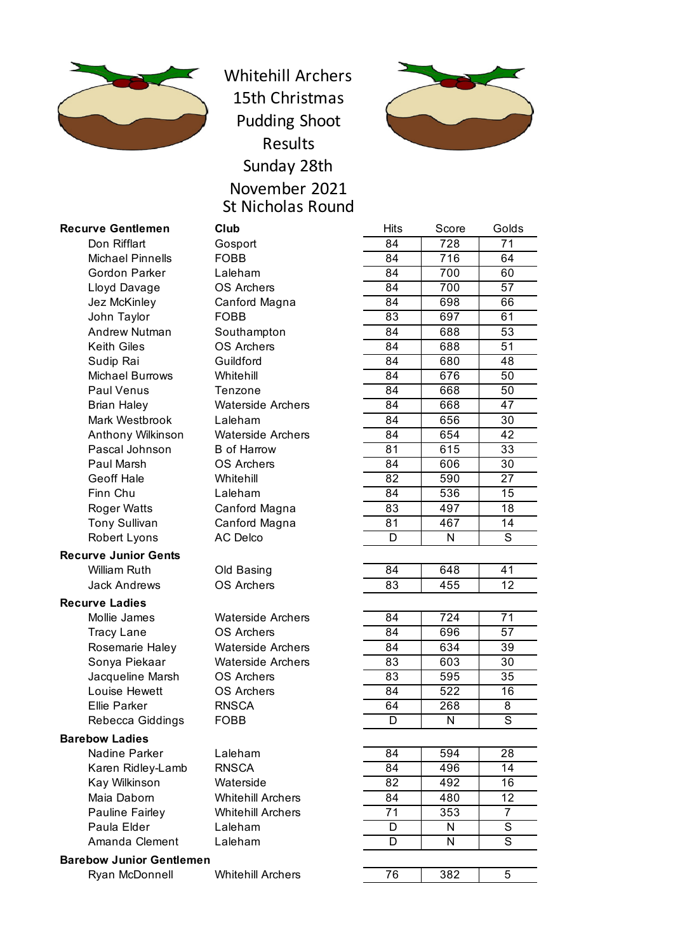

Whitehill Archers 15th Christmas Pudding Shoot Results Sunday 28th November 2021 St Nicholas Round



# **Recurve Gentlemen** Club

## **Recurve Junior Gents**

# **Recurve Ladies**

### **Barebow Ladies**

**Barebow Junior Gentlemen**

| ırve Gentlemen          | Club                     | Hits            | Score            | Golds           |
|-------------------------|--------------------------|-----------------|------------------|-----------------|
| Don Rifflart            | Gosport                  | 84              | 728              | 71              |
| <b>Michael Pinnells</b> | <b>FOBB</b>              | 84              | $\overline{716}$ | 64              |
| <b>Gordon Parker</b>    | Laleham                  | 84              | 700              | 60              |
| Lloyd Davage            | <b>OS Archers</b>        | 84              | 700              | 57              |
| Jez McKinley            | Canford Magna            | 84              | 698              | 66              |
| John Taylor             | <b>FOBB</b>              | 83              | 697              | 61              |
| <b>Andrew Nutman</b>    | Southampton              | 84              | 688              | 53              |
| <b>Keith Giles</b>      | <b>OS Archers</b>        | 84              | 688              | 51              |
| Sudip Rai               | Guildford                | 84              | 680              | 48              |
| <b>Michael Burrows</b>  | Whitehill                | 84              | 676              | 50              |
| <b>Paul Venus</b>       | Tenzone                  | 84              | 668              | 50              |
| <b>Brian Haley</b>      | <b>Waterside Archers</b> | 84              | 668              | 47              |
| Mark Westbrook          | Laleham                  | 84              | 656              | 30              |
| Anthony Wilkinson       | <b>Waterside Archers</b> | 84              | 654              | 42              |
| Pascal Johnson          | <b>B</b> of Harrow       | 81              | 615              | $\overline{33}$ |
| Paul Marsh              | <b>OS Archers</b>        | 84              | 606              | 30              |
| <b>Geoff Hale</b>       | Whitehill                | 82              | 590              | $\overline{27}$ |
| Finn Chu                | Laleham                  | 84              | 536              | 15              |
| <b>Roger Watts</b>      | Canford Magna            | 83              | 497              | 18              |
| <b>Tony Sullivan</b>    | Canford Magna            | 81              | 467              | 14              |
| Robert Lyons            | <b>AC Delco</b>          | D               | N                | S               |
| <b>rve Junior Gents</b> |                          |                 |                  |                 |
| <b>William Ruth</b>     | Old Basing               | $\overline{84}$ | 648              | 41              |
| <b>Jack Andrews</b>     | <b>OS Archers</b>        | 83              | 455              | 12              |
| ırve Ladies             |                          |                 |                  |                 |
| Mollie James            | <b>Waterside Archers</b> | 84              | 724              | 71              |
| <b>Tracy Lane</b>       | <b>OS Archers</b>        | 84              | 696              | 57              |
| Rosemarie Haley         | <b>Waterside Archers</b> | 84              | 634              | $\overline{39}$ |
| Sonya Piekaar           | <b>Waterside Archers</b> | 83              | 603              | 30              |
| Jacqueline Marsh        | <b>OS Archers</b>        | 83              | 595              | 35              |
| Louise Hewett           | <b>OS Archers</b>        | 84              | 522              | 16              |
| <b>Ellie Parker</b>     | <b>RNSCA</b>             | 64              | 268              | 8               |
| Rebecca Giddings        | <b>FOBB</b>              | D               | N                | $\overline{s}$  |
| <b>bow Ladies</b>       |                          |                 |                  |                 |
| Nadine Parker           | Laleham                  | 84              | 594              | 28              |
| Karen Ridley-Lamb       | <b>RNSCA</b>             | 84              | 496              | 14              |
| Kay Wilkinson           | Waterside                | 82              | 492              | 16              |
| Maia Daborn             | <b>Whitehill Archers</b> | 84              | 480              | 12              |
| Pauline Fairley         | <b>Whitehill Archers</b> | 71              | 353              | 7               |
| Paula Elder             | Laleham                  | D               | N                | S               |
| Amanda Clement          | Laleham                  | D               | N                | S               |
| bow Junior Gentlemen    |                          |                 |                  |                 |
| Ryan McDonnell          | <b>Whitehill Archers</b> | 76              | 382              | 5               |